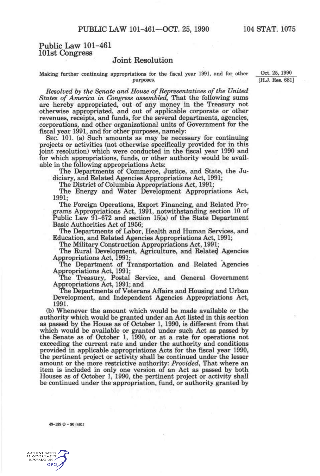## **Public Law 101-461 101st Congress**

## **Joint Resolution**

Making further continuing appropriations for the fiscal year 1991, and for other Oct. 25, 1990 purposes. [H.J. Res. 681]

*Resolved by the Senate and House of Representatives of the United States of America in Congress assembled,* That the following sums are hereby appropriated, out of any money in the Treasury not otherwise appropriated, and out of applicable corporate or other revenues, receipts, and funds, for the several departments, agencies, corporations, and other organizational units of Government for the fiscal year 1991, and for other purposes, namely:

SEC. 101. (a) Such amounts as may be necessary for continuing projects or activities (not otherwise specifically provided for in this joint resolution) which were conducted in the fiscal year 1990 and for which appropriations, funds, or other authority would be available in the following appropriations Acts:

The Departments of Commerce, Justice, and State, the Judiciary, and Related Agencies Appropriations Act, 1991;

The District of Columbia Appropriations Act, 1991;

The Energy and Water Development Appropriations Act, 1991;

The Foreign Operations, Export Financing, and Related Programs Appropriations Act, 1991, notwithstanding section 10 of Public Law 91-672 and section 15(a) of the State Department Basic Authorities Act of 1956;

The Departments of Labor, Health and Human Services, and ^ Education, and Related Agencies Appropriations Act, 1991;

The Military Construction Appropriations Act, 1991;

The Rural Development, Agriculture, and Relate^ Agencies Appropriations Act, 1991;

The Department of Transportation and Related Agencies Appropriations Act, 1991;

The Treasury, Postal Service, and General Government Appropriations Act, 1991; and

The Departments of Veterans Affairs and Housing and Urban Development, and Independent Agencies Appropriations Act, 1991.

(b) Whenever the amount which would be made available or the authority which would be granted under an Act listed in this section as passed by the House as of October 1, 1990, is different from that which would be available or granted under such Act as passed by the Senate as of October 1, 1990, or at a rate for operations not exceeding the current rate and under the authority and conditions provided in applicable appropriations Acts for the fiscal year 1990, the pertinent project or activity shall be continued under the lesser amount or the more restrictive authority: *Provided,* That where an item is included in only one version of an Act as passed by both Houses as of October 1, 1990, the pertinent project or activity shall be continued under the appropriation, fund, or authority granted by

**49-139 O - 90 (461)** 

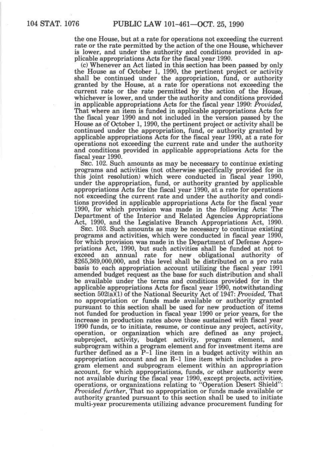the one House, but at a rate for operations not exceeding the current rate or the rate permitted by the action of the one House, whichever is lower, and under the authority and conditions provided in applicable appropriations Acts for the fiscal year 1990.

(c) Whenever an Act listed in this section has been passed by only the House as of October 1, 1990, the pertinent project or activity shall be continued under the appropriation, fund, or authority granted by the House, at a rate for operations not exceeding the current rate or the rate permitted by the action of the House, whichever is lower, and under the authority and conditions provided in applicable appropriations Acts for the fiscal year 1990: *Provided,*  That where an item is funded in applicable appropriations Acts for the fiscal year 1990 and not included in the version passed by the House as of October 1,1990, the pertinent project or activity shall be continued under the appropriation, fund, or authority granted by applicable appropriations Acts for the fiscal year 1990, at a rate for operations not exceeding the current rate and under the authority and conditions provided in applicable appropriations Acts for the fiscal year 1990.

SEC. 102. Such amounts as may be necessary to continue existing programs and activities (not otherwise specifically provided for in this joint resolution) which were conducted in fiscal year 1990, under the appropriation, fund, or authority granted by applicable appropriations Acts for the fiscal year 1990, at a rate for operations not exceeding the current rate and under the authority and conditions provided in applicable appropriations Acts for the fiscal year 1990, for which provision was made in the following Acts: The Department of the Interior and Related Agencies Appropriations Act, 1990, and the Legislative Branch Appropriations Act, 1990.

SEC. 103. Such amounts as may be necessary to continue existing programs and activities, which were conducted in fiscal year 1990, for which provision was made in the Department of Defense Appropriations Act, 1990, but such activities shall be funded at not to exceed an annual rate for new obligational authority of \$265,369,000,000, and this level shall be distributed on a pro rata basis to each appropriation account utilizing the fiscal year 1991 amended budget request as the base for such distribution and shall be available under the terms and conditions provided for in the applicable appropriations Acts for fiscal year 1990, notwithstanding section 502(a)(1) of the National Security Act of 1947: *Provided,* That no appropriation or funds made available or authority granted pursuant to this section shall be used for new production of items not funded for production in fiscal year 1990 or prior years, for the increase in production rates above those sustained with fiscal year 1990 funds, or to initiate, resume, or continue any project, activity, operation, or organization which are defined as any project, subproject, activity, budget activity, program element, and subprogram within a program element and for investment items are further defined as a P-1 line item in a budget activity within an appropriation account and an R-1 line item which includes a program element and subprogram element within an appropriation account, for which appropriations, funds, or other authority were not available during the fiscal year 1990, except projects, activities, operations, or organizations relating to "Operation Desert Shield": *Provided further.* That no appropriation or funds made available or authority granted pursuant to this section shall be used to initiate multi-year procurements utilizing advance procurement funding for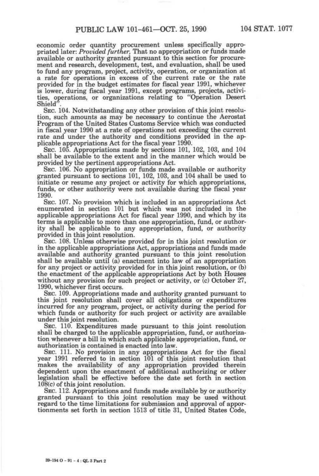economic order quantity procurement unless specifically appropriated later: *Provided further,* That no appropriation or funds made available or authority granted pursuant to this section for procurement and research, development, test, and evaluation, shall be used to fund any program, project, activity, operation, or organization at a rate for operations in excess of the current rate or the rate provided for in the budget estimates for fiscal year 1991, whichever is lower, during fiscal year 1991, except programs, projects, activities, operations, or organizations relating to "Operation Desert Shield".

SEC. 104. Notwithstanding any other provision of this joint resolution, such amounts as may be necessary to continue the Aerostat Program of the United States Customs Service which was conducted in fiscal year 1990 at a rate of operations not exceeding the current rate and under the authority and conditions provided in the applicable appropriations Act for the fiscal year 1990.

SEC. 105. Appropriations made by sections 101, 102, 103, and 104 shall be available to the extent and in the manner which would be provided by the pertinent appropriations Act.

SEC. 106. No appropriation or funds made available or authority granted pursuant to sections 101, 102, 103, and 104 shall be used to initiate or resume any project or activity for which appropriations, funds, or other authority were not available during the fiscal year 1990.

SEC. 107. No provision which is included in an appropriations Act enumerated in section 101 but which was not included in the applicable appropriations Act for fiscal year 1990, and which by its terms is applicable to more than one appropriation, fund, or authority shall be applicable to any appropriation, fund, or authority provided in this joint resolution.

SEC. 108. Unless otherwise provided for in this joint resolution or in the applicable appropriations Act, appropriations and funds made available and authority granted pursuant to this joint resolution shall be available until (a) enactment into law of an appropriation for any project or activity provided for in this joint resolution, or (b) the enactment of the applicable appropriations Act by both Houses without any provision for such project or activity, or (c) October 27, 1990, whichever first occurs.

SEC. 109. Appropriations made and authority granted pursuant to this joint resolution shall cover all obligations or expenditures incurred for any program, project, or activity during the period for which funds or authority for such project or activity are available under this joint resolution.

SEC. 110. Expenditures made pursuant to this joint resolution shall be charged to the applicable appropriation, fund, or authorization whenever a bill in which such applicable appropriation, fund, or authorization is contained is enacted into law.

SEC. 111. No provision in any appropriations Act for the fiscal year 1991 referred to in section 101 of this joint resolution that makes the availability of any appropriation provided therein dependent upon the enactment of additional authorizing or other legislation shall be effective before the date set forth in section 108(c) of this joint resolution.

SEC. 112. Appropriations and funds made available by or authority granted pursuant to this joint resolution may be used without regard to the time limitations for submission and approval of apportionments set forth in section 1513 of title 31, United States Code,